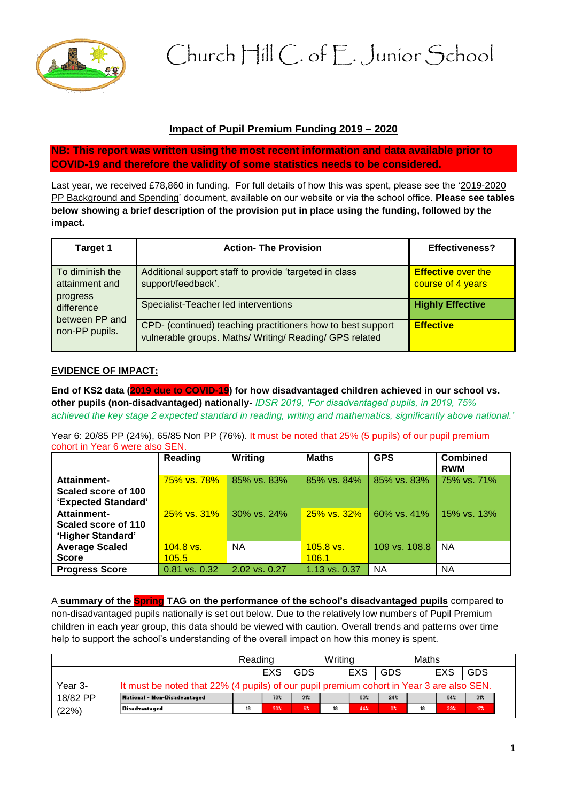

Church Hill C. of E. Junior School

# **Impact of Pupil Premium Funding 2019 – 2020**

**NB: This report was written using the most recent information and data available prior to COVID-19 and therefore the validity of some statistics needs to be considered.** 

Last year, we received £78,860 in funding. For full details of how this was spent, please see the '2019-2020 PP Background and Spending' document, available on our website or via the school office. **Please see tables below showing a brief description of the provision put in place using the funding, followed by the impact.** 

| <b>Target 1</b>                               | <b>Action- The Provision</b>                                                                                           | <b>Effectiveness?</b>                          |
|-----------------------------------------------|------------------------------------------------------------------------------------------------------------------------|------------------------------------------------|
| To diminish the<br>attainment and<br>progress | Additional support staff to provide 'targeted in class<br>support/feedback'.                                           | <b>Effective over the</b><br>course of 4 years |
| difference<br>between PP and                  | Specialist-Teacher led interventions                                                                                   | <b>Highly Effective</b>                        |
| non-PP pupils.                                | CPD- (continued) teaching practitioners how to best support<br>vulnerable groups. Maths/ Writing/ Reading/ GPS related | <b>Effective</b>                               |

# **EVIDENCE OF IMPACT:**

**End of KS2 data (2019 due to COVID-19) for how disadvantaged children achieved in our school vs. other pupils (non-disadvantaged) nationally-** *IDSR 2019, 'For disadvantaged pupils, in 2019, 75% achieved the key stage 2 expected standard in reading, writing and mathematics, significantly above national.'*

Year 6: 20/85 PP (24%), 65/85 Non PP (76%). It must be noted that 25% (5 pupils) of our pupil premium cohort in Year 6 were also SEN.

|                       | Reading              | Writing                   | <b>Maths</b>  | <b>GPS</b>    | <b>Combined</b><br><b>RWM</b> |
|-----------------------|----------------------|---------------------------|---------------|---------------|-------------------------------|
| Attainment-           | <u>75% vs. 78% _</u> | $ 85\% \text{ vs. } 83\%$ | 85% vs. 84%   | 85% vs. 83%   | 75% vs. 71%                   |
| Scaled score of 100   |                      |                           |               |               |                               |
| 'Expected Standard'   |                      |                           |               |               |                               |
| Attainment-           | 25% vs. 31%          | 30% vs. 24%               | 25% vs. 32%   | 60% vs. 41%   | 15% vs. 13%                   |
| Scaled score of 110   |                      |                           |               |               |                               |
| 'Higher Standard'     |                      |                           |               |               |                               |
| <b>Average Scaled</b> | $104.8$ vs.          | <b>NA</b>                 | $105.8$ vs.   | 109 vs. 108.8 | <b>NA</b>                     |
| <b>Score</b>          | 105.5                |                           | 106.1         |               |                               |
| <b>Progress Score</b> | 0.81 vs. 0.32        | 2.02 vs. 0.27             | 1.13 vs. 0.37 | <b>NA</b>     | ΝA                            |

A **summary of the Spring TAG on the performance of the school's disadvantaged pupils** compared to non-disadvantaged pupils nationally is set out below. Due to the relatively low numbers of Pupil Premium children in each year group, this data should be viewed with caution. Overall trends and patterns over time help to support the school's understanding of the overall impact on how this money is spent.

|          |                                                                                          | Reading |     | Writing         |    |            | Maths           |    |     |                 |  |
|----------|------------------------------------------------------------------------------------------|---------|-----|-----------------|----|------------|-----------------|----|-----|-----------------|--|
|          |                                                                                          |         | EXS | <b>GDS</b>      |    | <b>EXS</b> | <b>GDS</b>      |    | EXS | <b>GDS</b>      |  |
| Year 3-  | It must be noted that 22% (4 pupils) of our pupil premium cohort in Year 3 are also SEN. |         |     |                 |    |            |                 |    |     |                 |  |
| 18/82 PP | <b>National - Non-Disadvantaged</b>                                                      |         | 78% | 31 <sub>z</sub> |    | 83%        | 24 <sub>x</sub> |    | 84% | 31 <sub>4</sub> |  |
| (22%)    | <b>Disadvantaged</b>                                                                     | 18      | 50% | 6%              | 18 | 44%        | 0%              | 18 | 33% | 17%             |  |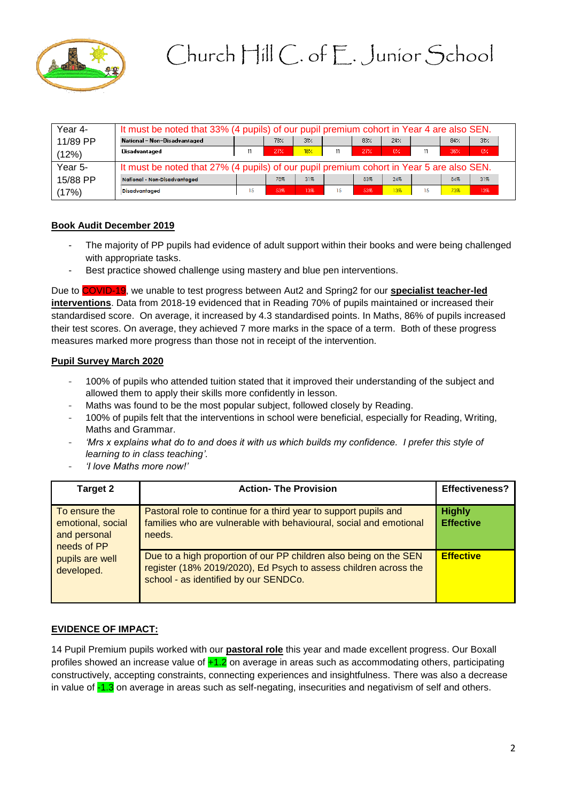

| Year 4-  | It must be noted that 33% (4 pupils) of our pupil premium cohort in Year 4 are also SEN. |    |     |      |    |     |     |    |                 |       |
|----------|------------------------------------------------------------------------------------------|----|-----|------|----|-----|-----|----|-----------------|-------|
| 11/89 PP | National - Non-Disadvantaged                                                             |    | 78% | 31.4 |    | 83% | 24/ |    | 84 <sub>2</sub> | 31<   |
| (12%)    | Disadvantaged                                                                            | 11 | 27% | 18%  | 11 | 27% | 0%  | 11 | 36%             | $0\%$ |
| Year 5-  | It must be noted that 27% (4 pupils) of our pupil premium cohort in Year 5 are also SEN. |    |     |      |    |     |     |    |                 |       |
| 15/88 PP | National Non-Disadvantaged                                                               |    | 78% | 31%  |    | 83% | 24% |    | 84%             | 31%   |
| (17%)    | <b>Disadvantaged</b>                                                                     | 15 | 53% | 13%  | 15 | 53% | 13% | 15 | 73%             | 13%   |

### **Book Audit December 2019**

- The majority of PP pupils had evidence of adult support within their books and were being challenged with appropriate tasks.
- Best practice showed challenge using mastery and blue pen interventions.

Due to COVID-19, we unable to test progress between Aut2 and Spring2 for our **specialist teacher-led interventions**. Data from 2018-19 evidenced that in Reading 70% of pupils maintained or increased their standardised score. On average, it increased by 4.3 standardised points. In Maths, 86% of pupils increased their test scores. On average, they achieved 7 more marks in the space of a term. Both of these progress measures marked more progress than those not in receipt of the intervention.

### **Pupil Survey March 2020**

- 100% of pupils who attended tuition stated that it improved their understanding of the subject and allowed them to apply their skills more confidently in lesson.
- Maths was found to be the most popular subject, followed closely by Reading.
- 100% of pupils felt that the interventions in school were beneficial, especially for Reading, Writing, Maths and Grammar.
- *'Mrs x explains what do to and does it with us which builds my confidence. I prefer this style of learning to in class teaching'.*
- *'I love Maths more now!'*

| Target 2                                                          | <b>Action- The Provision</b>                                                                                                                                                   | <b>Effectiveness?</b>             |
|-------------------------------------------------------------------|--------------------------------------------------------------------------------------------------------------------------------------------------------------------------------|-----------------------------------|
| To ensure the<br>emotional, social<br>and personal<br>needs of PP | Pastoral role to continue for a third year to support pupils and<br>families who are vulnerable with behavioural, social and emotional<br>needs.                               | <b>Highly</b><br><b>Effective</b> |
| pupils are well<br>developed.                                     | Due to a high proportion of our PP children also being on the SEN<br>register (18% 2019/2020), Ed Psych to assess children across the<br>school - as identified by our SENDCo. | <b>Effective</b>                  |

# **EVIDENCE OF IMPACT:**

14 Pupil Premium pupils worked with our **pastoral role** this year and made excellent progress. Our Boxall profiles showed an increase value of  $+1.2$  on average in areas such as accommodating others, participating constructively, accepting constraints, connecting experiences and insightfulness. There was also a decrease in value of -1.3 on average in areas such as self-negating, insecurities and negativism of self and others.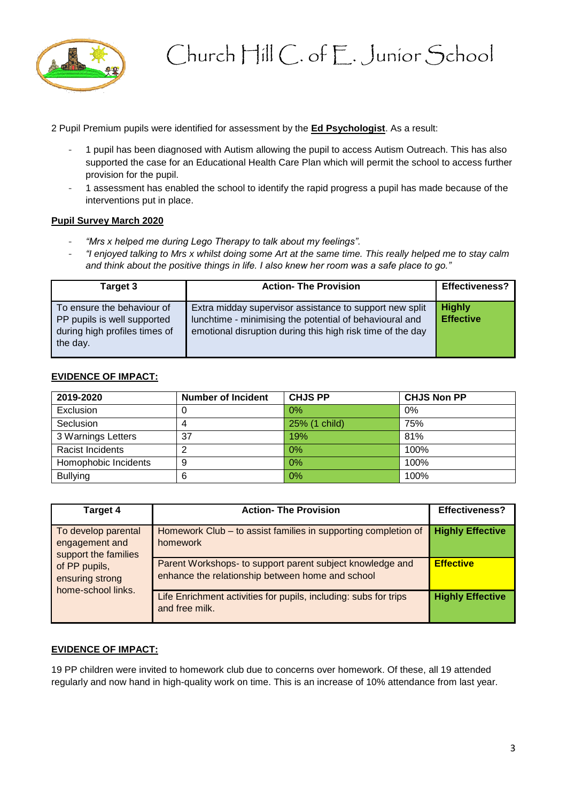

2 Pupil Premium pupils were identified for assessment by the **Ed Psychologist**. As a result:

- 1 pupil has been diagnosed with Autism allowing the pupil to access Autism Outreach. This has also supported the case for an Educational Health Care Plan which will permit the school to access further provision for the pupil.
- 1 assessment has enabled the school to identify the rapid progress a pupil has made because of the interventions put in place.

### **Pupil Survey March 2020**

- "Mrs x helped me during Lego Therapy to talk about my feelings".
- "I enjoyed talking to Mrs x whilst doing some Art at the same time. This really helped me to stay calm *and think about the positive things in life. I also knew her room was a safe place to go."*

| Target 3                                                                                               | <b>Action- The Provision</b>                                                                                                                                                     | <b>Effectiveness?</b>             |
|--------------------------------------------------------------------------------------------------------|----------------------------------------------------------------------------------------------------------------------------------------------------------------------------------|-----------------------------------|
| To ensure the behaviour of<br>PP pupils is well supported<br>during high profiles times of<br>the day. | Extra midday supervisor assistance to support new split<br>lunchtime - minimising the potential of behavioural and<br>emotional disruption during this high risk time of the day | <b>Highly</b><br><b>Effective</b> |

### **EVIDENCE OF IMPACT:**

| 2019-2020            | <b>Number of Incident</b> | <b>CHJS PP</b> | <b>CHJS Non PP</b> |
|----------------------|---------------------------|----------------|--------------------|
| Exclusion            |                           | $0\%$          | 0%                 |
| Seclusion            |                           | 25% (1 child)  | 75%                |
| 3 Warnings Letters   | 37                        | 19%            | 81%                |
| Racist Incidents     |                           | $0\%$          | 100%               |
| Homophobic Incidents | 9                         | 0%             | 100%               |
| <b>Bullying</b>      | 6                         | 0%             | 100%               |

| Target 4                                                      | <b>Action- The Provision</b>                                                                                  | <b>Effectiveness?</b>   |
|---------------------------------------------------------------|---------------------------------------------------------------------------------------------------------------|-------------------------|
| To develop parental<br>engagement and<br>support the families | Homework Club – to assist families in supporting completion of<br>homework                                    | <b>Highly Effective</b> |
| of PP pupils,<br>ensuring strong<br>home-school links.        | Parent Workshops- to support parent subject knowledge and<br>enhance the relationship between home and school | <b>Effective</b>        |
|                                                               | Life Enrichment activities for pupils, including: subs for trips<br>and free milk.                            | <b>Highly Effective</b> |

# **EVIDENCE OF IMPACT:**

19 PP children were invited to homework club due to concerns over homework. Of these, all 19 attended regularly and now hand in high-quality work on time. This is an increase of 10% attendance from last year.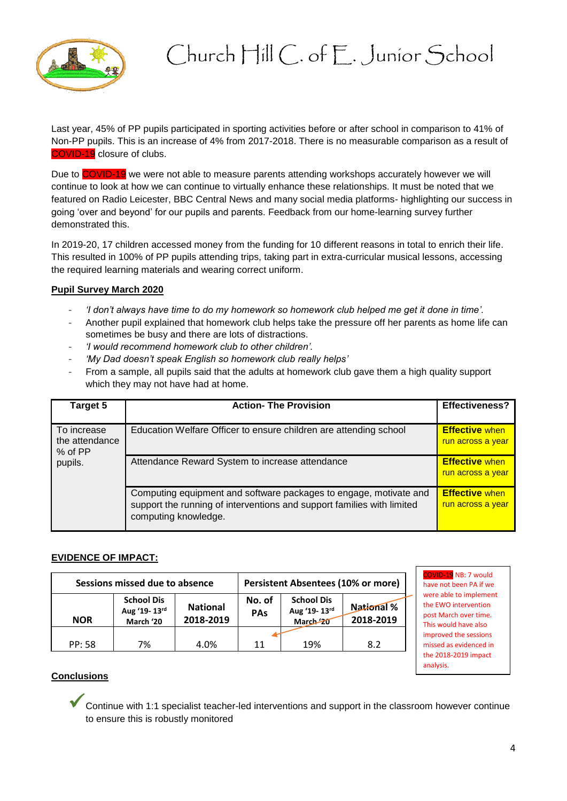

# Church Hill C. of E. Junior School

Last year, 45% of PP pupils participated in sporting activities before or after school in comparison to 41% of Non-PP pupils. This is an increase of 4% from 2017-2018. There is no measurable comparison as a result of COVID-19 closure of clubs.

Due to COVID-19 we were not able to measure parents attending workshops accurately however we will continue to look at how we can continue to virtually enhance these relationships. It must be noted that we featured on Radio Leicester, BBC Central News and many social media platforms- highlighting our success in going 'over and beyond' for our pupils and parents. Feedback from our home-learning survey further demonstrated this.

In 2019-20, 17 children accessed money from the funding for 10 different reasons in total to enrich their life. This resulted in 100% of PP pupils attending trips, taking part in extra-curricular musical lessons, accessing the required learning materials and wearing correct uniform.

# **Pupil Survey March 2020**

- *'I don't always have time to do my homework so homework club helped me get it done in time'.*
- Another pupil explained that homework club helps take the pressure off her parents as home life can sometimes be busy and there are lots of distractions.
- *'I would recommend homework club to other children'.*
- *'My Dad doesn't speak English so homework club really helps'*
- From a sample, all pupils said that the adults at homework club gave them a high quality support which they may not have had at home.

| Target 5                                 | <b>Action- The Provision</b>                                                                                                                                        | <b>Effectiveness?</b>                      |
|------------------------------------------|---------------------------------------------------------------------------------------------------------------------------------------------------------------------|--------------------------------------------|
| To increase<br>the attendance<br>% of PP | Education Welfare Officer to ensure children are attending school                                                                                                   | <b>Effective when</b><br>run across a year |
| pupils.                                  | Attendance Reward System to increase attendance                                                                                                                     | <b>Effective when</b><br>run across a year |
|                                          | Computing equipment and software packages to engage, motivate and<br>support the running of interventions and support families with limited<br>computing knowledge. | <b>Effective when</b><br>run across a year |

#### **EVIDENCE OF IMPACT:**

| Sessions missed due to absence |                                                |                              |                      | <b>Persistent Absentees (10% or more)</b>                |                         |
|--------------------------------|------------------------------------------------|------------------------------|----------------------|----------------------------------------------------------|-------------------------|
| <b>NOR</b>                     | <b>School Dis</b><br>Aug '19-13rd<br>March '20 | <b>National</b><br>2018-2019 | No. of<br><b>PAs</b> | <b>School Dis</b><br>Aug '19-13rd<br>March <sub>20</sub> | National %<br>2018-2019 |
| <b>PP: 58</b>                  | 7%                                             | 4.0%                         | 11                   | 19%                                                      | 8.2                     |

OVID-19 NB: 7 would have not been PA if we were able to implement the EWO intervention post March over time. This would have also improved the sessions missed as evidenced in the 2018-2019 impact analysis.

#### **Conclusions**

Continue with 1:1 specialist teacher-led interventions and support in the classroom however continue to ensure this is robustly monitored